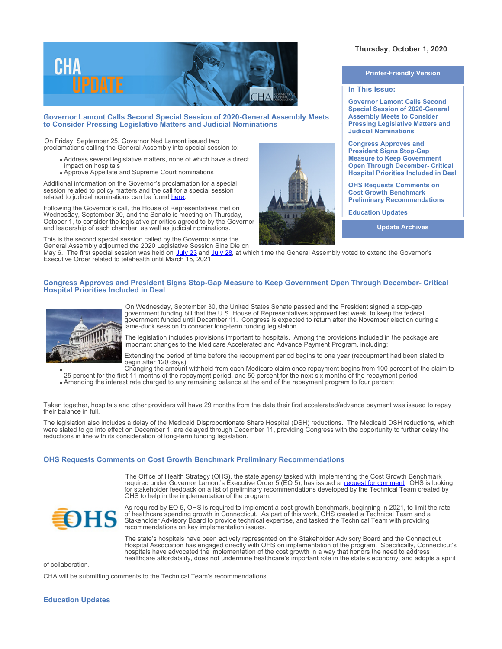

# **Governor Lamont Calls Second Special Session of 2020-General Assembly Meets to Consider Pressing Legislative Matters and Judicial Nominations**

On Friday, September 25, Governor Ned Lamont issued two proclamations calling the General Assembly into special session to:

- Address several legislative matters, none of which have a direct
	- impact on hospitals Approve Appellate and Supreme Court nominations

Additional information on the Governor's proclamation for a special session related to policy matters and the call for a special session related to judicial nominations can be found [here](https://portal.ct.gov/Office-of-the-Governor/News/Press-Releases/2020/09-2020/Governor-Lamont-Calls-Legislature-Into-Session).

Following the Governor's call, the House of Representatives met on Wednesday, September 30, and the Senate is meeting on Thursday, October 1, to consider the legislative priorities agreed to by the Governor and leadership of each chamber, as well as judicial nominations.

This is the second special session called by the Governor since the General Assembly adjourned the 2020 Legislative Session Sine Die on

**Thursday, October 1, 2020** 

#### **Printer-Friendly Version**

### **In This Issue:**

**Governor Lamont Calls Second Special Session of 2020-General Assembly Meets to Consider Pressing Legislative Matters and Judicial Nominations**

**Congress Approves and President Signs Stop-Gap Measure to Keep Government Open Through December- Critical Hospital Priorities Included in Deal**

**OHS Requests Comments on Cost Growth Benchmark Preliminary Recommendations**

**Education Updates**

**Update Archives**

May 6. The first special session was held on <u>[July 23](https://documents.cthosp.org/9/Lori/SpecialGovernmentRelationsUpdate2.pdf)</u> and <u>[July 28](https://documents.cthosp.org/9/Lori/SpecialGRU1.pdf)</u>, at which time the General Assembly voted to extend the Governor's Executive Order related to telehealth until March 15, 2021.

## **Congress Approves and President Signs Stop-Gap Measure to Keep Government Open Through December- Critical Hospital Priorities Included in Deal**



On Wednesday, September 30, the United States Senate passed and the President signed a stop-gap government funding bill that the U.S. House of Representatives approved last week, to keep the federal government funded until December 11. Congress is expected to return after the November election during a lame-duck session to consider long-term funding legislation.

The legislation includes provisions important to hospitals. Among the provisions included in the package are important changes to the Medicare Accelerated and Advance Payment Program, including:

Extending the period of time before the recoupment period begins to one year (recoupment had been slated to begin after 120 days)

Changing the amount withheld from each Medicare claim once repayment begins from 100 percent of the claim to 25 percent for the first 11 months of the repayment period, and 50 percent for the next six months of the repayment period

Amending the interest rate charged to any remaining balance at the end of the repayment program to four percent

Taken together, hospitals and other providers will have 29 months from the date their first accelerated/advance payment was issued to repay their balance in full.

The legislation also includes a delay of the Medicaid Disproportionate Share Hospital (DSH) reductions. The Medicaid DSH reductions, which were slated to go into effect on December 1, are delayed through December 11, providing Congress with the opportunity to further delay the reductions in line with its consideration of long-term funding legislation.

## **OHS Requests Comments on Cost Growth Benchmark Preliminary Recommendations**

The Office of Health Strategy (OHS), the state agency tasked with implementing the Cost Growth Benchmark required under Governor Lamont's Executive Order 5 (EO 5), has issued a [request for comment](https://portal.ct.gov/-/media/OHS/Cost-Growth-Benchmark/Request-for-Comment.pdf). OHS is looking for stakeholder feedback on a list of preliminary recommendations developed by the Technical Team created by OHS to help in the implementation of the program.



As required by EO 5, OHS is required to implement a cost growth benchmark, beginning in 2021, to limit the rate of healthcare spending growth in Connecticut. As part of this work, OHS created a Technical Team and a Stakeholder Advisory Board to provide technical expertise, and tasked the Technical Team with providing recommendations on key implementation issues.

The state's hospitals have been actively represented on the Stakeholder Advisory Board and the Connecticut Hospital Association has engaged directly with OHS on implementation of the program. Specifically, Connecticut's hospitals have advocated the implementation of the cost growth in a way that honors the need to address healthcare affordability, does not undermine healthcare's important role in the state's economy, and adopts a spirit

of collaboration.

CHA will be submitting comments to the Technical Team's recommendations.

# **Education Updates**